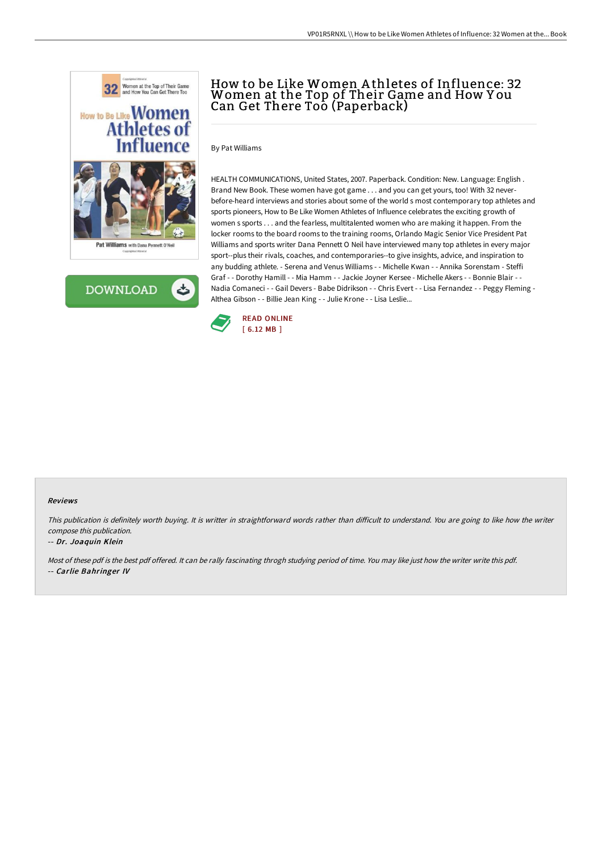



# How to be Like Women A thletes of Influence: 32 Women at the Top of Their Game and How Y ou Can Get There Too (Paperback)

By Pat Williams

HEALTH COMMUNICATIONS, United States, 2007. Paperback. Condition: New. Language: English . Brand New Book. These women have got game . . . and you can get yours, too! With 32 neverbefore-heard interviews and stories about some of the world s most contemporary top athletes and sports pioneers, How to Be Like Women Athletes of Influence celebrates the exciting growth of women s sports . . . and the fearless, multitalented women who are making it happen. From the locker rooms to the board rooms to the training rooms, Orlando Magic Senior Vice President Pat Williams and sports writer Dana Pennett O Neil have interviewed many top athletes in every major sport--plus their rivals, coaches, and contemporaries--to give insights, advice, and inspiration to any budding athlete. - Serena and Venus Williams - - Michelle Kwan - - Annika Sorenstam - Steffi Graf - - Dorothy Hamill - - Mia Hamm - - Jackie Joyner Kersee - Michelle Akers - - Bonnie Blair - - Nadia Comaneci - - Gail Devers - Babe Didrikson - - Chris Evert - - Lisa Fernandez - - Peggy Fleming - Althea Gibson - - Billie Jean King - - Julie Krone - - Lisa Leslie...



#### Reviews

This publication is definitely worth buying. It is writter in straightforward words rather than difficult to understand. You are going to like how the writer compose this publication.

#### -- Dr. Joaquin Klein

Most of these pdf is the best pdf offered. It can be rally fascinating throgh studying period of time. You may like just how the writer write this pdf. -- Carlie Bahringer IV